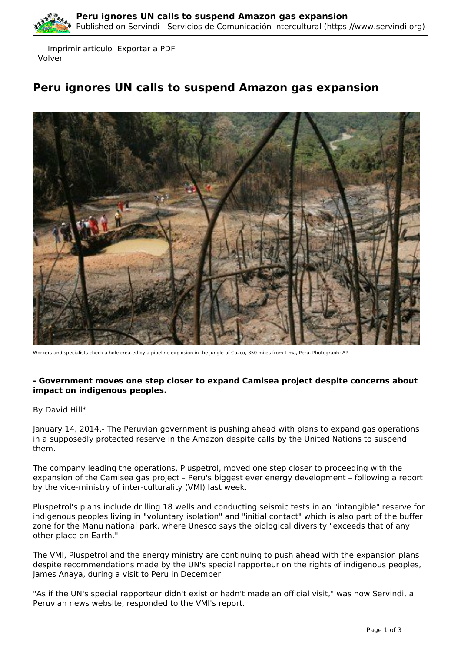

 Imprimir articulo Exportar a PDF Volver

## **Peru ignores UN calls to suspend Amazon gas expansion**



Workers and specialists check a hole created by a pipeline explosion in the jungle of Cuzco, 350 miles from Lima, Peru. Photograph: AP

## **- Government moves one step closer to expand Camisea project despite concerns about impact on indigenous peoples.**

By David Hill\*

January 14, 2014.- The Peruvian government is pushing ahead with plans to expand gas operations in a supposedly protected reserve in the Amazon despite calls by the United Nations to suspend them.

The company leading the operations, Pluspetrol, moved one step closer to proceeding with the expansion of the Camisea gas project – Peru's biggest ever energy development – following a report by the vice-ministry of inter-culturality (VMI) last week.

Pluspetrol's plans include drilling 18 wells and conducting seismic tests in an "intangible" reserve for indigenous peoples living in "voluntary isolation" and "initial contact" which is also part of the buffer zone for the Manu national park, where Unesco says the biological diversity "exceeds that of any other place on Earth."

The VMI, Pluspetrol and the energy ministry are continuing to push ahead with the expansion plans despite recommendations made by the UN's special rapporteur on the rights of indigenous peoples, James Anaya, during a visit to Peru in December.

"As if the UN's special rapporteur didn't exist or hadn't made an official visit," was how Servindi, a Peruvian news website, responded to the VMI's report.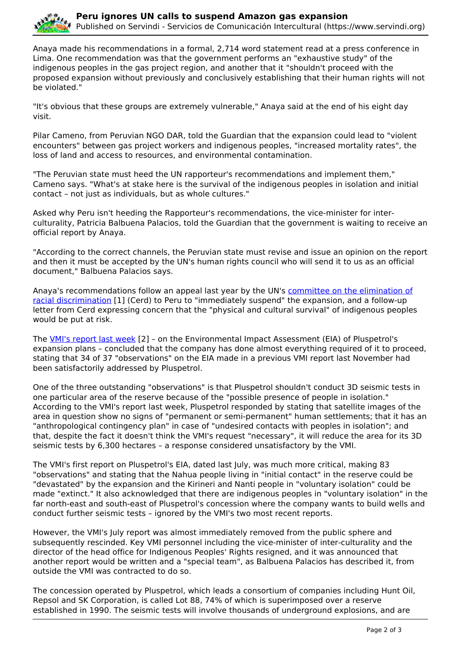

Anaya made his recommendations in a formal, 2,714 word statement read at a press conference in Lima. One recommendation was that the government performs an "exhaustive study" of the indigenous peoples in the gas project region, and another that it "shouldn't proceed with the proposed expansion without previously and conclusively establishing that their human rights will not be violated."

"It's obvious that these groups are extremely vulnerable," Anaya said at the end of his eight day visit.

Pilar Cameno, from Peruvian NGO DAR, told the Guardian that the expansion could lead to "violent encounters" between gas project workers and indigenous peoples, "increased mortality rates", the loss of land and access to resources, and environmental contamination.

"The Peruvian state must heed the UN rapporteur's recommendations and implement them," Cameno says. "What's at stake here is the survival of the indigenous peoples in isolation and initial contact – not just as individuals, but as whole cultures."

Asked why Peru isn't heeding the Rapporteur's recommendations, the vice-minister for interculturality, Patricia Balbuena Palacios, told the Guardian that the government is waiting to receive an official report by Anaya.

"According to the correct channels, the Peruvian state must revise and issue an opinion on the report and then it must be accepted by the UN's human rights council who will send it to us as an official document," Balbuena Palacios says.

Anaya's recommendations follow an appeal last year by the UN's [committee on the elimination of](http://www.huffingtonpost.co.uk/david-hill/un-urges-peru-to-suspend-gas-plans_b_2900551.html) [racial discrimination](http://www.huffingtonpost.co.uk/david-hill/un-urges-peru-to-suspend-gas-plans_b_2900551.html) [1] (Cerd) to Peru to "immediately suspend" the expansion, and a follow-up letter from Cerd expressing concern that the "physical and cultural survival" of indigenous peoples would be put at risk.

The [VMI's report last week](http://www.cultura.gob.pe/comunicacion/noticia/ministerio-de-cultura-notifico-hoy-al-ministerio-de-energia-y-minas-tres-re) [2] – on the Environmental Impact Assessment (EIA) of Pluspetrol's expansion plans – concluded that the company has done almost everything required of it to proceed, stating that 34 of 37 "observations" on the EIA made in a previous VMI report last November had been satisfactorily addressed by Pluspetrol.

One of the three outstanding "observations" is that Pluspetrol shouldn't conduct 3D seismic tests in one particular area of the reserve because of the "possible presence of people in isolation." According to the VMI's report last week, Pluspetrol responded by stating that satellite images of the area in question show no signs of "permanent or semi-permanent" human settlements; that it has an "anthropological contingency plan" in case of "undesired contacts with peoples in isolation"; and that, despite the fact it doesn't think the VMI's request "necessary", it will reduce the area for its 3D seismic tests by 6,300 hectares – a response considered unsatisfactory by the VMI.

The VMI's first report on Pluspetrol's EIA, dated last July, was much more critical, making 83 "observations" and stating that the Nahua people living in "initial contact" in the reserve could be "devastated" by the expansion and the Kirineri and Nanti people in "voluntary isolation" could be made "extinct." It also acknowledged that there are indigenous peoples in "voluntary isolation" in the far north-east and south-east of Pluspetrol's concession where the company wants to build wells and conduct further seismic tests – ignored by the VMI's two most recent reports.

However, the VMI's July report was almost immediately removed from the public sphere and subsequently rescinded. Key VMI personnel including the vice-minister of inter-culturality and the director of the head office for Indigenous Peoples' Rights resigned, and it was announced that another report would be written and a "special team", as Balbuena Palacios has described it, from outside the VMI was contracted to do so.

The concession operated by Pluspetrol, which leads a consortium of companies including Hunt Oil, Repsol and SK Corporation, is called Lot 88, 74% of which is superimposed over a reserve established in 1990. The seismic tests will involve thousands of underground explosions, and are